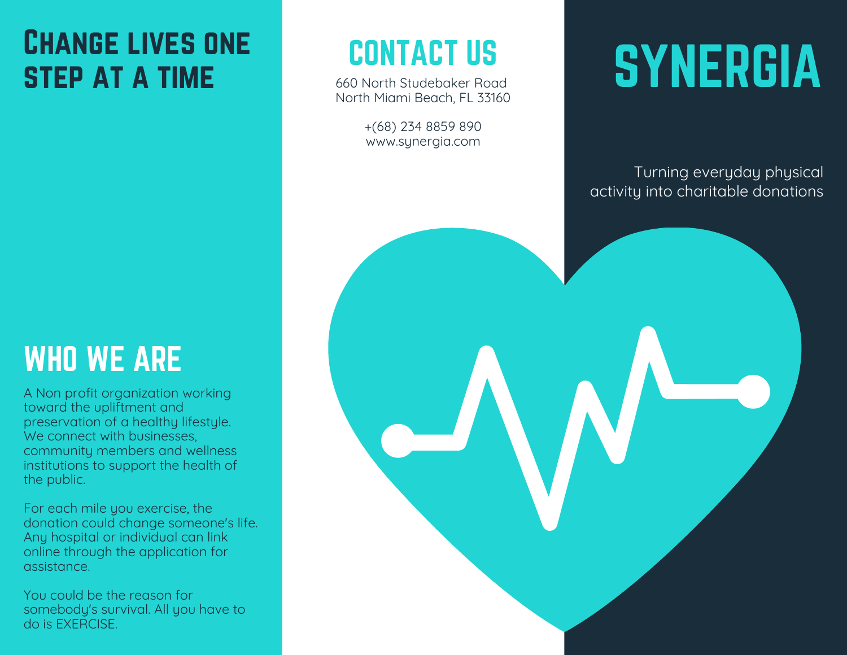#### Change lives one step at a time

## WHO WE ARE

A Non profit organization working toward the upliftment and preservation of a healthy lifestyle. We connect with businesses, community members and wellness institutions to support the health of the public.

For each mile you exercise, the donation could change someone's life. Any hospital or individual can link online through the application for assistance.

You could be the reason for somebody's survival. All you have to do is EXERCISE.

#### CONTACT US

660 North Studebaker Road North Miami Beach, FL 33160

> +(68) 234 8859 890 www.synergia.com

# **SYNERGIA**

Turning everyday physical activity into charitable donations